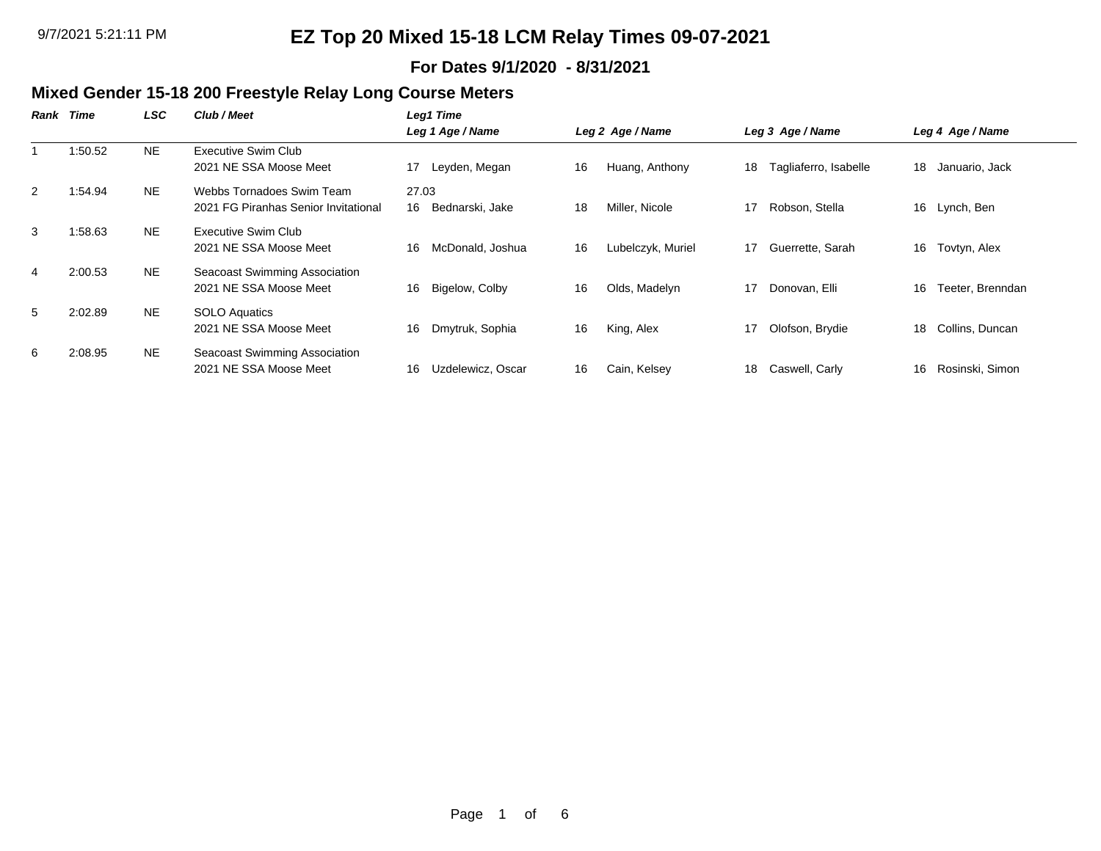#### **For Dates 9/1/2020 - 8/31/2021**

### **Mixed Gender 15-18 200 Freestyle Relay Long Course Meters**

| Rank           | Time    | LSC       | Club / Meet                                                       | Leg1 Time                      |                         |                             |                        |
|----------------|---------|-----------|-------------------------------------------------------------------|--------------------------------|-------------------------|-----------------------------|------------------------|
|                |         |           |                                                                   | Leg 1 Age / Name               | Leg 2 Age / Name        | Leg 3 Age / Name            | Leg 4 Age / Name       |
|                | 1:50.52 | NE.       | Executive Swim Club<br>2021 NE SSA Moose Meet                     | Leyden, Megan<br>17            | Huang, Anthony<br>16    | Tagliaferro, Isabelle<br>18 | 18<br>Januario, Jack   |
| 2              | 1:54.94 | <b>NE</b> | Webbs Tornadoes Swim Team<br>2021 FG Piranhas Senior Invitational | 27.03<br>16<br>Bednarski, Jake | 18<br>Miller, Nicole    | 17<br>Robson, Stella        | 16<br>Lynch, Ben       |
| 3              | 1:58.63 | NE.       | Executive Swim Club<br>2021 NE SSA Moose Meet                     | McDonald, Joshua<br>16         | Lubelczyk, Muriel<br>16 | Guerrette, Sarah<br>17      | Tovtyn, Alex<br>16     |
| $\overline{4}$ | 2:00.53 | NE.       | Seacoast Swimming Association<br>2021 NE SSA Moose Meet           | Bigelow, Colby<br>16           | Olds, Madelyn<br>16     | 17<br>Donovan, Elli         | Teeter, Brenndan<br>16 |
| 5              | 2:02.89 | NE.       | SOLO Aquatics<br>2021 NE SSA Moose Meet                           | Dmytruk, Sophia<br>16          | 16<br>King, Alex        | Olofson, Brydie<br>17       | Collins, Duncan<br>18  |
| 6              | 2:08.95 | NE.       | Seacoast Swimming Association<br>2021 NE SSA Moose Meet           | 16<br>Uzdelewicz, Oscar        | 16<br>Cain, Kelsey      | 18<br>Caswell, Carly        | Rosinski, Simon<br>16  |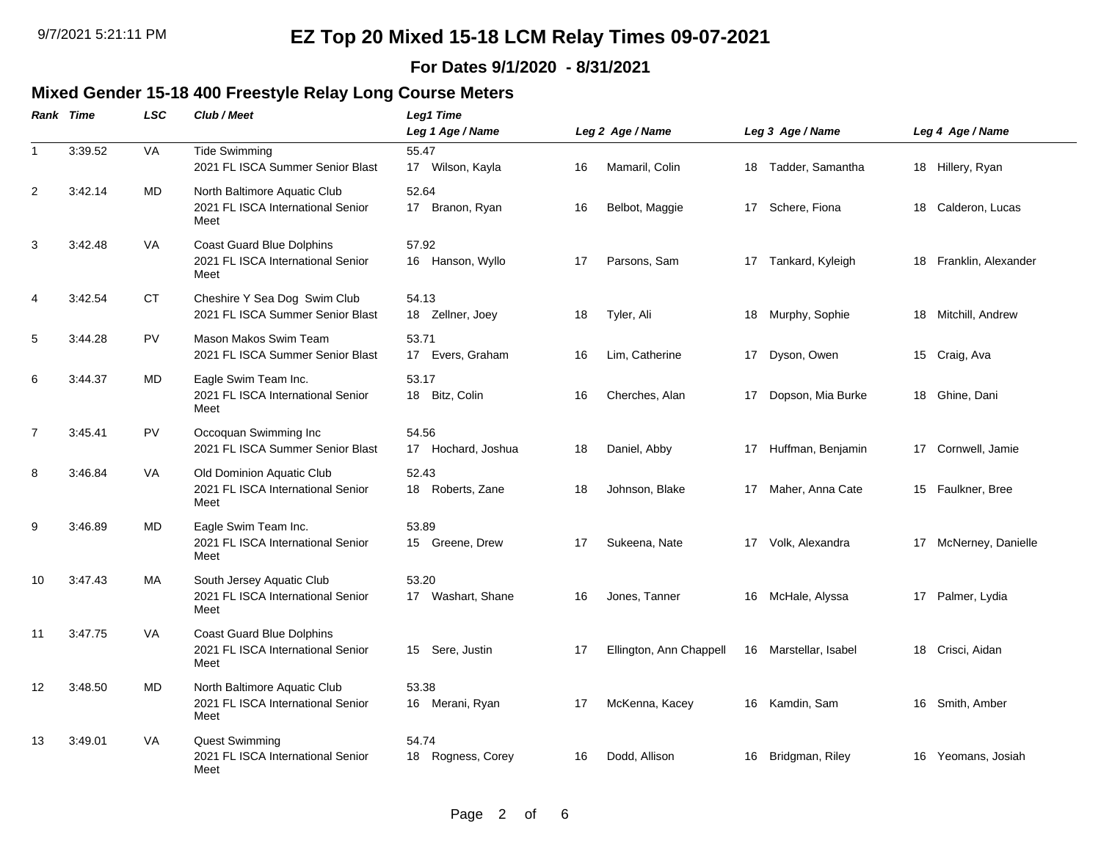### **For Dates 9/1/2020 - 8/31/2021**

#### **Mixed Gender 15-18 400 Freestyle Relay Long Course Meters**

|                | Rank Time | <b>LSC</b> | Club / Meet                                                                   | Leg1 Time<br>Leg 1 Age / Name            |    | Leg 2 Age / Name        |    | Leg 3 Age / Name   |    | Leg 4 Age / Name    |
|----------------|-----------|------------|-------------------------------------------------------------------------------|------------------------------------------|----|-------------------------|----|--------------------|----|---------------------|
| $\overline{1}$ | 3:39.52   | VA         | <b>Tide Swimming</b><br>2021 FL ISCA Summer Senior Blast                      | 55.47<br>17 Wilson, Kayla                | 16 | Mamaril, Colin          | 18 | Tadder, Samantha   |    | 18 Hillery, Ryan    |
| $\overline{2}$ | 3:42.14   | MD         | North Baltimore Aquatic Club<br>2021 FL ISCA International Senior<br>Meet     | 52.64<br>Branon, Ryan<br>17 <sup>2</sup> | 16 | Belbot, Maggie          | 17 | Schere, Fiona      | 18 | Calderon, Lucas     |
| 3              | 3:42.48   | VA         | Coast Guard Blue Dolphins<br>2021 FL ISCA International Senior<br>Meet        | 57.92<br>16 Hanson, Wyllo                | 17 | Parsons, Sam            | 17 | Tankard, Kyleigh   | 18 | Franklin, Alexander |
| $\overline{a}$ | 3:42.54   | CT         | Cheshire Y Sea Dog Swim Club<br>2021 FL ISCA Summer Senior Blast              | 54.13<br>18 Zellner, Joey                | 18 | Tyler, Ali              | 18 | Murphy, Sophie     | 18 | Mitchill, Andrew    |
| 5              | 3:44.28   | <b>PV</b>  | Mason Makos Swim Team<br>2021 FL ISCA Summer Senior Blast                     | 53.71<br>17 Evers, Graham                | 16 | Lim, Catherine          |    | 17 Dyson, Owen     |    | 15 Craig, Ava       |
| 6              | 3:44.37   | MD         | Eagle Swim Team Inc.<br>2021 FL ISCA International Senior<br>Meet             | 53.17<br>18 Bitz, Colin                  | 16 | Cherches, Alan          | 17 | Dopson, Mia Burke  |    | 18 Ghine, Dani      |
| $\overline{7}$ | 3:45.41   | <b>PV</b>  | Occoquan Swimming Inc<br>2021 FL ISCA Summer Senior Blast                     | 54.56<br>17<br>Hochard, Joshua           | 18 | Daniel, Abby            | 17 | Huffman, Benjamin  | 17 | Cornwell, Jamie     |
| 8              | 3:46.84   | VA         | Old Dominion Aquatic Club<br>2021 FL ISCA International Senior<br>Meet        | 52.43<br>18 Roberts, Zane                | 18 | Johnson, Blake          | 17 | Maher, Anna Cate   | 15 | Faulkner, Bree      |
| 9              | 3:46.89   | MD         | Eagle Swim Team Inc.<br>2021 FL ISCA International Senior<br>Meet             | 53.89<br>15 Greene, Drew                 | 17 | Sukeena, Nate           | 17 | Volk, Alexandra    | 17 | McNerney, Danielle  |
| 10             | 3:47.43   | MA         | South Jersey Aquatic Club<br>2021 FL ISCA International Senior<br>Meet        | 53.20<br>17 Washart, Shane               | 16 | Jones, Tanner           | 16 | McHale, Alyssa     | 17 | Palmer, Lydia       |
| 11             | 3:47.75   | <b>VA</b>  | <b>Coast Guard Blue Dolphins</b><br>2021 FL ISCA International Senior<br>Meet | Sere, Justin<br>15                       | 17 | Ellington, Ann Chappell | 16 | Marstellar, Isabel | 18 | Crisci, Aidan       |
| 12             | 3:48.50   | MD         | North Baltimore Aquatic Club<br>2021 FL ISCA International Senior<br>Meet     | 53.38<br>16 Merani, Ryan                 | 17 | McKenna, Kacey          | 16 | Kamdin, Sam        | 16 | Smith, Amber        |
| 13             | 3:49.01   | VA         | Quest Swimming<br>2021 FL ISCA International Senior<br>Meet                   | 54.74<br>18 Rogness, Corey               | 16 | Dodd, Allison           | 16 | Bridgman, Riley    | 16 | Yeomans, Josiah     |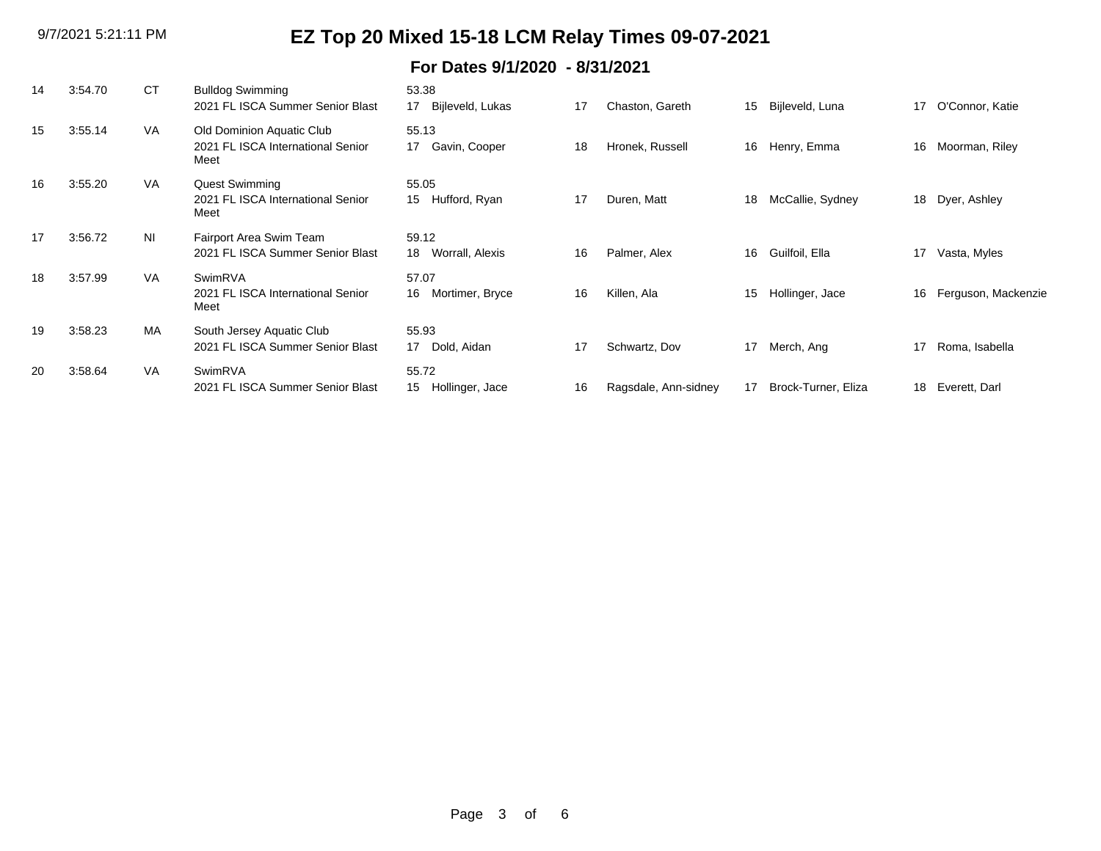### **For Dates 9/1/2020 - 8/31/2021**

| 14 | 3:54.70 | СT             | <b>Bulldog Swimming</b><br>2021 FL ISCA Summer Senior Blast            | 53.38<br>Bijleveld, Lukas<br>17 | 17 | Chaston, Gareth      | 15 | Bijleveld, Luna     | 17 | O'Connor, Katie     |
|----|---------|----------------|------------------------------------------------------------------------|---------------------------------|----|----------------------|----|---------------------|----|---------------------|
| 15 | 3:55.14 | <b>VA</b>      | Old Dominion Aquatic Club<br>2021 FL ISCA International Senior<br>Meet | 55.13<br>Gavin, Cooper<br>17    | 18 | Hronek, Russell      | 16 | Henry, Emma         | 16 | Moorman, Riley      |
| 16 | 3:55.20 | <b>VA</b>      | <b>Quest Swimming</b><br>2021 FL ISCA International Senior<br>Meet     | 55.05<br>Hufford, Ryan<br>15    | 17 | Duren, Matt          | 18 | McCallie, Sydney    | 18 | Dyer, Ashley        |
| 17 | 3:56.72 | N <sub>l</sub> | Fairport Area Swim Team<br>2021 FL ISCA Summer Senior Blast            | 59.12<br>Worrall, Alexis<br>18  | 16 | Palmer, Alex         | 16 | Guilfoil, Ella      | 17 | Vasta, Myles        |
| 18 | 3:57.99 | <b>VA</b>      | SwimRVA<br>2021 FL ISCA International Senior<br>Meet                   | 57.07<br>16<br>Mortimer, Bryce  | 16 | Killen, Ala          | 15 | Hollinger, Jace     | 16 | Ferguson, Mackenzie |
| 19 | 3:58.23 | <b>MA</b>      | South Jersey Aquatic Club<br>2021 FL ISCA Summer Senior Blast          | 55.93<br>Dold, Aidan<br>17      | 17 | Schwartz, Dov        | 17 | Merch, Ang          | 17 | Roma, Isabella      |
| 20 | 3:58.64 | <b>VA</b>      | SwimRVA<br>2021 FL ISCA Summer Senior Blast                            | 55.72<br>Hollinger, Jace<br>15  | 16 | Ragsdale, Ann-sidney | 17 | Brock-Turner, Eliza | 18 | Everett, Darl       |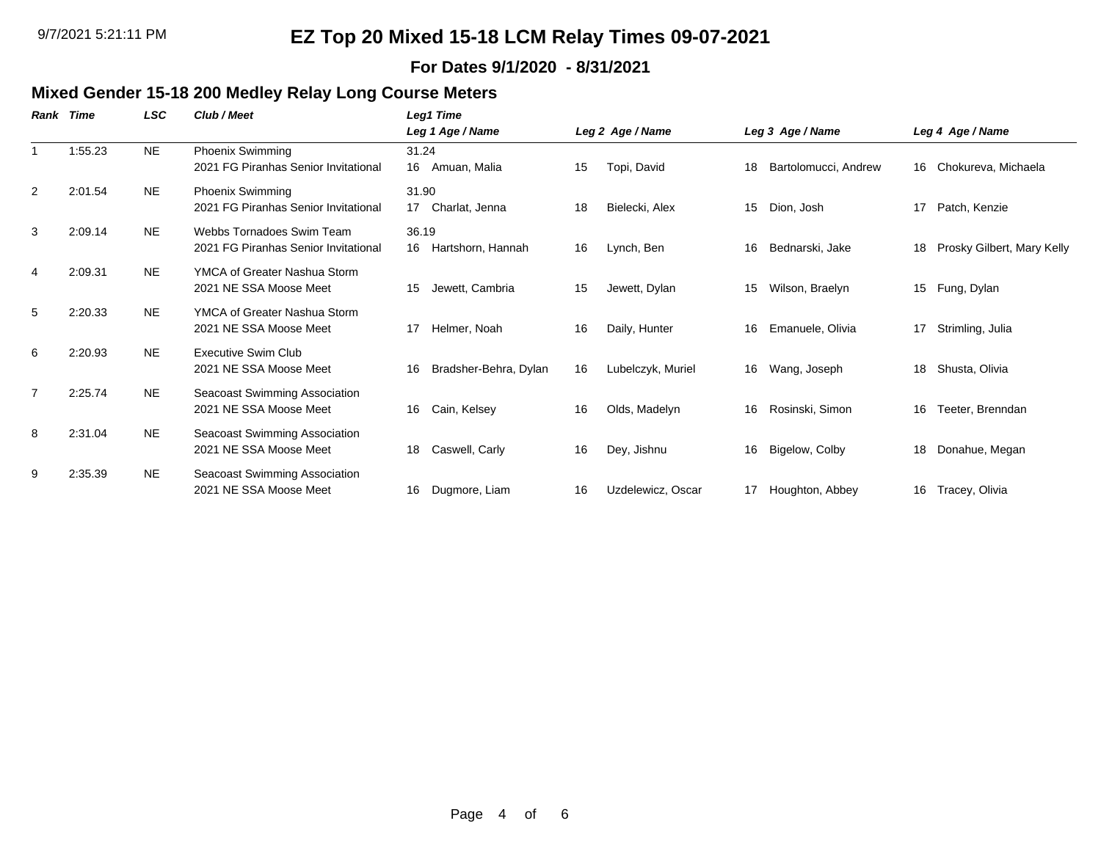### **For Dates 9/1/2020 - 8/31/2021**

### **Mixed Gender 15-18 200 Medley Relay Long Course Meters**

| Rank           | Time    | LSC       | Club / Meet                                                       | Leg1 Time                        |    |                   |    |                      |    |                            |
|----------------|---------|-----------|-------------------------------------------------------------------|----------------------------------|----|-------------------|----|----------------------|----|----------------------------|
|                |         |           |                                                                   | Leg 1 Age / Name                 |    | Leg 2 Age / Name  |    | Leg 3 Age / Name     |    | Leg 4 Age / Name           |
|                | 1:55.23 | <b>NE</b> | Phoenix Swimming<br>2021 FG Piranhas Senior Invitational          | 31.24<br>16<br>Amuan, Malia      | 15 | Topi, David       | 18 | Bartolomucci, Andrew | 16 | Chokureva, Michaela        |
| $\overline{2}$ | 2:01.54 | <b>NE</b> | <b>Phoenix Swimming</b><br>2021 FG Piranhas Senior Invitational   | 31.90<br>Charlat, Jenna<br>17    | 18 | Bielecki, Alex    | 15 | Dion, Josh           | 17 | Patch, Kenzie              |
| 3              | 2:09.14 | <b>NE</b> | Webbs Tornadoes Swim Team<br>2021 FG Piranhas Senior Invitational | 36.19<br>16<br>Hartshorn, Hannah | 16 | Lynch, Ben        | 16 | Bednarski, Jake      | 18 | Prosky Gilbert, Mary Kelly |
| 4              | 2:09.31 | <b>NE</b> | YMCA of Greater Nashua Storm<br>2021 NE SSA Moose Meet            | Jewett, Cambria<br>15            | 15 | Jewett, Dylan     | 15 | Wilson, Braelyn      |    | 15 Fung, Dylan             |
| 5              | 2:20.33 | <b>NE</b> | YMCA of Greater Nashua Storm<br>2021 NE SSA Moose Meet            | Helmer, Noah<br>17               | 16 | Daily, Hunter     | 16 | Emanuele, Olivia     | 17 | Strimling, Julia           |
| 6              | 2:20.93 | <b>NE</b> | <b>Executive Swim Club</b><br>2021 NE SSA Moose Meet              | Bradsher-Behra, Dylan<br>16      | 16 | Lubelczyk, Muriel | 16 | Wang, Joseph         | 18 | Shusta, Olivia             |
| 7              | 2:25.74 | <b>NE</b> | Seacoast Swimming Association<br>2021 NE SSA Moose Meet           | Cain, Kelsey<br>16               | 16 | Olds, Madelyn     | 16 | Rosinski, Simon      | 16 | Teeter, Brenndan           |
| 8              | 2:31.04 | <b>NE</b> | Seacoast Swimming Association<br>2021 NE SSA Moose Meet           | Caswell, Carly<br>18             | 16 | Dey, Jishnu       | 16 | Bigelow, Colby       | 18 | Donahue, Megan             |
| 9              | 2:35.39 | <b>NE</b> | Seacoast Swimming Association<br>2021 NE SSA Moose Meet           | 16<br>Dugmore, Liam              | 16 | Uzdelewicz, Oscar | 17 | Houghton, Abbey      | 16 | Tracey, Olivia             |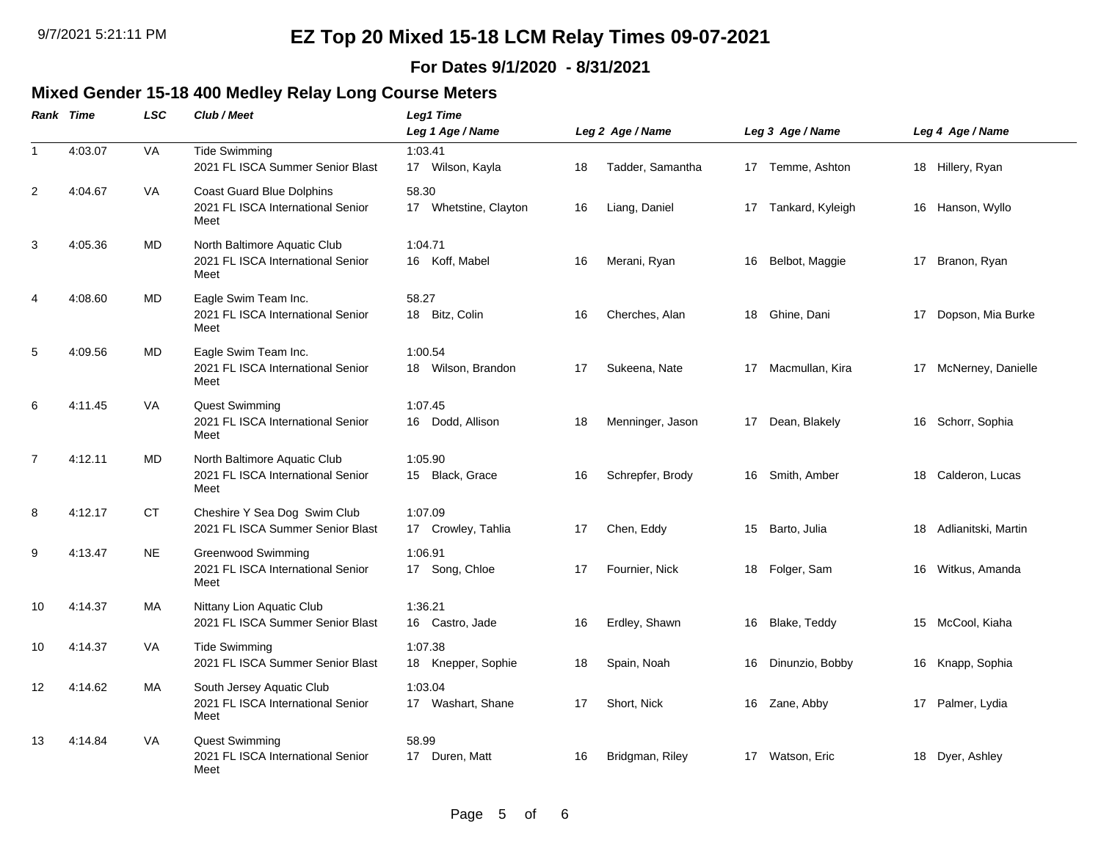### **For Dates 9/1/2020 - 8/31/2021**

### **Mixed Gender 15-18 400 Medley Relay Long Course Meters**

|                | Rank Time | <b>LSC</b> | Club / Meet                                                                   | Leg1 Time<br>Leg 1 Age / Name  |    | Leg 2 Age / Name |    | Leg 3 Age / Name |    | Leg 4 Age / Name       |
|----------------|-----------|------------|-------------------------------------------------------------------------------|--------------------------------|----|------------------|----|------------------|----|------------------------|
| $\mathbf{1}$   | 4:03.07   | VA         | <b>Tide Swimming</b><br>2021 FL ISCA Summer Senior Blast                      | 1:03.41<br>17 Wilson, Kayla    | 18 | Tadder, Samantha |    | 17 Temme, Ashton |    | 18 Hillery, Ryan       |
| $\overline{2}$ | 4:04.67   | VA         | <b>Coast Guard Blue Dolphins</b><br>2021 FL ISCA International Senior<br>Meet | 58.30<br>17 Whetstine, Clayton | 16 | Liang, Daniel    | 17 | Tankard, Kyleigh |    | 16 Hanson, Wyllo       |
| 3              | 4:05.36   | MD         | North Baltimore Aquatic Club<br>2021 FL ISCA International Senior<br>Meet     | 1:04.71<br>16 Koff, Mabel      | 16 | Merani, Ryan     | 16 | Belbot, Maggie   | 17 | Branon, Ryan           |
| $\overline{4}$ | 4:08.60   | MD         | Eagle Swim Team Inc.<br>2021 FL ISCA International Senior<br>Meet             | 58.27<br>18 Bitz, Colin        | 16 | Cherches, Alan   |    | 18 Ghine, Dani   | 17 | Dopson, Mia Burke      |
| 5              | 4:09.56   | MD         | Eagle Swim Team Inc.<br>2021 FL ISCA International Senior<br>Meet             | 1:00.54<br>18 Wilson, Brandon  | 17 | Sukeena, Nate    | 17 | Macmullan, Kira  |    | 17 McNerney, Danielle  |
| 6              | 4:11.45   | VA         | <b>Quest Swimming</b><br>2021 FL ISCA International Senior<br>Meet            | 1:07.45<br>16 Dodd, Allison    | 18 | Menninger, Jason |    | 17 Dean, Blakely |    | 16 Schorr, Sophia      |
| 7              | 4:12.11   | MD         | North Baltimore Aquatic Club<br>2021 FL ISCA International Senior<br>Meet     | 1:05.90<br>15 Black, Grace     | 16 | Schrepfer, Brody | 16 | Smith, Amber     |    | 18 Calderon, Lucas     |
| 8              | 4:12.17   | CT         | Cheshire Y Sea Dog Swim Club<br>2021 FL ISCA Summer Senior Blast              | 1:07.09<br>17 Crowley, Tahlia  | 17 | Chen, Eddy       | 15 | Barto, Julia     |    | 18 Adlianitski, Martin |
| 9              | 4:13.47   | NE.        | <b>Greenwood Swimming</b><br>2021 FL ISCA International Senior<br>Meet        | 1:06.91<br>17 Song, Chloe      | 17 | Fournier, Nick   | 18 | Folger, Sam      | 16 | Witkus, Amanda         |
| 10             | 4:14.37   | MA         | Nittany Lion Aquatic Club<br>2021 FL ISCA Summer Senior Blast                 | 1:36.21<br>16 Castro, Jade     | 16 | Erdley, Shawn    | 16 | Blake, Teddy     |    | 15 McCool, Kiaha       |
| 10             | 4:14.37   | VA         | <b>Tide Swimming</b><br>2021 FL ISCA Summer Senior Blast                      | 1:07.38<br>18 Knepper, Sophie  | 18 | Spain, Noah      | 16 | Dinunzio, Bobby  |    | 16 Knapp, Sophia       |
| 12             | 4:14.62   | MA         | South Jersey Aquatic Club<br>2021 FL ISCA International Senior<br>Meet        | 1:03.04<br>17 Washart, Shane   | 17 | Short, Nick      | 16 | Zane, Abby       | 17 | Palmer, Lydia          |
| 13             | 4:14.84   | VA         | Quest Swimming<br>2021 FL ISCA International Senior<br>Meet                   | 58.99<br>17 Duren, Matt        | 16 | Bridgman, Riley  |    | 17 Watson, Eric  |    | 18 Dyer, Ashley        |